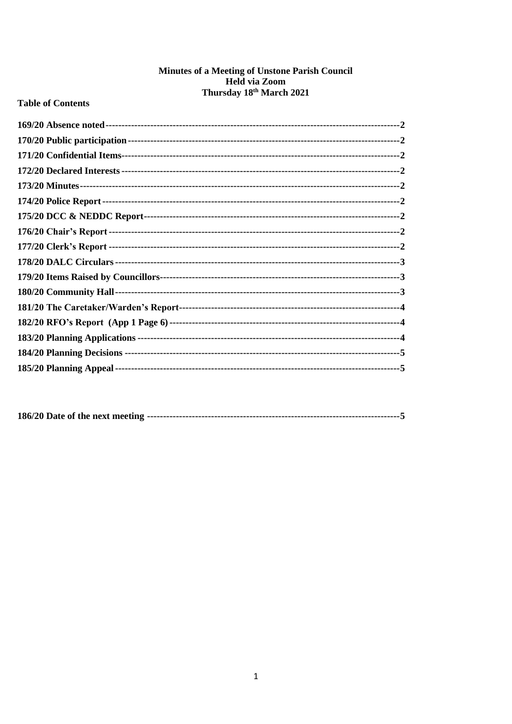# Minutes of a Meeting of Unstone Parish Council Held via Zoom<br>Thursday 18<sup>th</sup> March 2021

# **Table of Contents**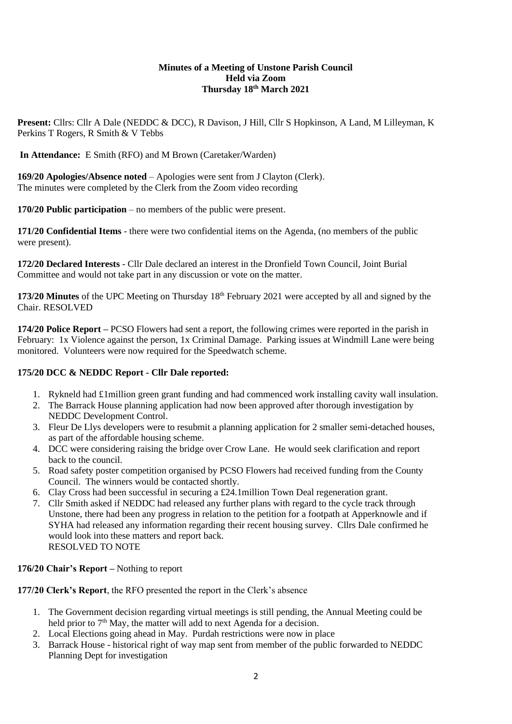#### **Minutes of a Meeting of Unstone Parish Council Held via Zoom Thursday 18th March 2021**

**Present:** Cllrs: Cllr A Dale (NEDDC & DCC), R Davison, J Hill, Cllr S Hopkinson, A Land, M Lilleyman, K Perkins T Rogers, R Smith & V Tebbs

**In Attendance:** E Smith (RFO) and M Brown (Caretaker/Warden)

<span id="page-1-0"></span>**169/20 Apologies/Absence noted** – Apologies were sent from J Clayton (Clerk). The minutes were completed by the Clerk from the Zoom video recording

<span id="page-1-1"></span>**170/20 Public participation** – no members of the public were present.

<span id="page-1-2"></span>**171/20 Confidential Items** - there were two confidential items on the Agenda, (no members of the public were present).

<span id="page-1-3"></span>**172/20 Declared Interests** - Cllr Dale declared an interest in the Dronfield Town Council, Joint Burial Committee and would not take part in any discussion or vote on the matter.

<span id="page-1-4"></span>**173/20 Minutes** of the UPC Meeting on Thursday 18<sup>th</sup> February 2021 were accepted by all and signed by the Chair. RESOLVED

<span id="page-1-5"></span>**174/20 Police Report –** PCSO Flowers had sent a report, the following crimes were reported in the parish in February: 1x Violence against the person, 1x Criminal Damage. Parking issues at Windmill Lane were being monitored. Volunteers were now required for the Speedwatch scheme.

# <span id="page-1-6"></span>**175/20 DCC & NEDDC Report - Cllr Dale reported:**

- 1. Rykneld had £1million green grant funding and had commenced work installing cavity wall insulation.
- 2. The Barrack House planning application had now been approved after thorough investigation by NEDDC Development Control.
- 3. Fleur De Llys developers were to resubmit a planning application for 2 smaller semi-detached houses, as part of the affordable housing scheme.
- 4. DCC were considering raising the bridge over Crow Lane. He would seek clarification and report back to the council.
- 5. Road safety poster competition organised by PCSO Flowers had received funding from the County Council. The winners would be contacted shortly.
- 6. Clay Cross had been successful in securing a £24.1million Town Deal regeneration grant.
- 7. Cllr Smith asked if NEDDC had released any further plans with regard to the cycle track through Unstone, there had been any progress in relation to the petition for a footpath at Apperknowle and if SYHA had released any information regarding their recent housing survey. Cllrs Dale confirmed he would look into these matters and report back. RESOLVED TO NOTE

# <span id="page-1-7"></span>**176/20 Chair's Report –** Nothing to report

**177/20 Clerk's Report**, the RFO presented the report in the Clerk's absence

- 1. The Government decision regarding virtual meetings is still pending, the Annual Meeting could be held prior to 7<sup>th</sup> May, the matter will add to next Agenda for a decision.
- 2. Local Elections going ahead in May. Purdah restrictions were now in place
- 3. Barrack House historical right of way map sent from member of the public forwarded to NEDDC Planning Dept for investigation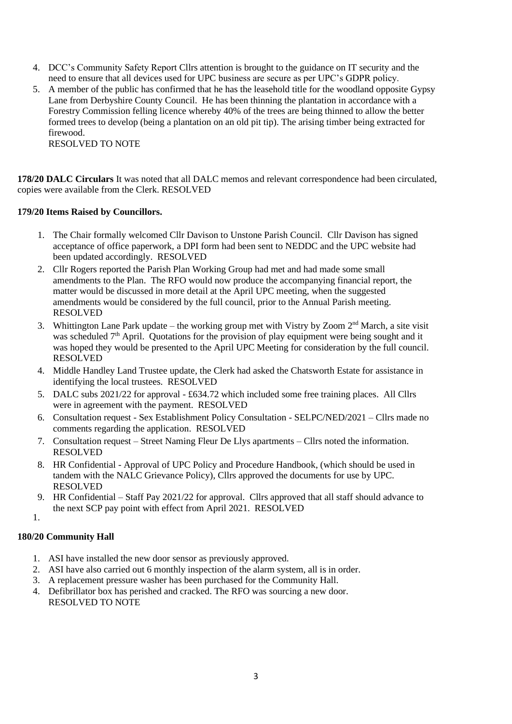- 4. DCC's Community Safety Report Cllrs attention is brought to the guidance on IT security and the need to ensure that all devices used for UPC business are secure as per UPC's GDPR policy.
- 5. A member of the public has confirmed that he has the leasehold title for the woodland opposite Gypsy Lane from Derbyshire County Council. He has been thinning the plantation in accordance with a Forestry Commission felling licence whereby 40% of the trees are being thinned to allow the better formed trees to develop (being a plantation on an old pit tip). The arising timber being extracted for firewood. RESOLVED TO NOTE

<span id="page-2-0"></span>**178/20 DALC Circulars** It was noted that all DALC memos and relevant correspondence had been circulated, copies were available from the Clerk. RESOLVED

## <span id="page-2-1"></span>**179/20 Items Raised by Councillors.**

- 1. The Chair formally welcomed Cllr Davison to Unstone Parish Council. Cllr Davison has signed acceptance of office paperwork, a DPI form had been sent to NEDDC and the UPC website had been updated accordingly. RESOLVED
- 2. Cllr Rogers reported the Parish Plan Working Group had met and had made some small amendments to the Plan. The RFO would now produce the accompanying financial report, the matter would be discussed in more detail at the April UPC meeting, when the suggested amendments would be considered by the full council, prior to the Annual Parish meeting. RESOLVED
- 3. Whittington Lane Park update the working group met with Vistry by Zoom  $2<sup>nd</sup>$  March, a site visit was scheduled 7<sup>th</sup> April. Quotations for the provision of play equipment were being sought and it was hoped they would be presented to the April UPC Meeting for consideration by the full council. RESOLVED
- 4. Middle Handley Land Trustee update, the Clerk had asked the Chatsworth Estate for assistance in identifying the local trustees. RESOLVED
- 5. DALC subs 2021/22 for approval £634.72 which included some free training places. All Cllrs were in agreement with the payment. RESOLVED
- 6. Consultation request Sex Establishment Policy Consultation SELPC/NED/2021 Cllrs made no comments regarding the application. RESOLVED
- 7. Consultation request Street Naming Fleur De Llys apartments Cllrs noted the information. RESOLVED
- 8. HR Confidential Approval of UPC Policy and Procedure Handbook, (which should be used in tandem with the NALC Grievance Policy), Cllrs approved the documents for use by UPC. RESOLVED
- 9. HR Confidential Staff Pay 2021/22 for approval. Cllrs approved that all staff should advance to the next SCP pay point with effect from April 2021. RESOLVED
- 1.

# <span id="page-2-2"></span>**180/20 Community Hall**

- 1. ASI have installed the new door sensor as previously approved.
- 2. ASI have also carried out 6 monthly inspection of the alarm system, all is in order.
- 3. A replacement pressure washer has been purchased for the Community Hall.
- 4. Defibrillator box has perished and cracked. The RFO was sourcing a new door. RESOLVED TO NOTE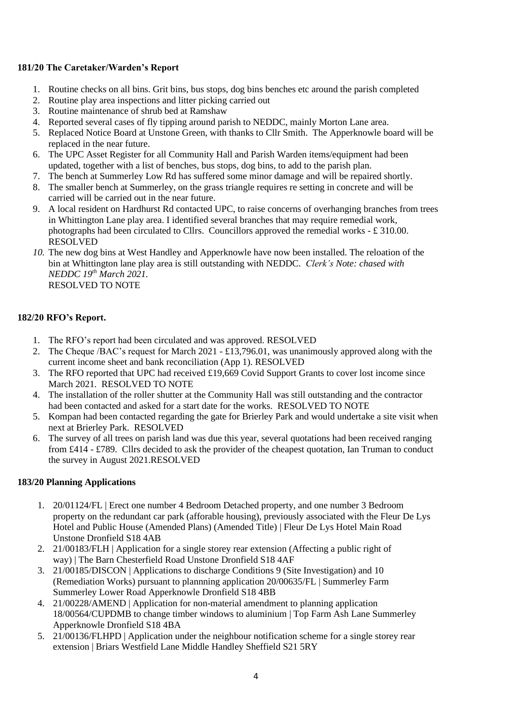#### <span id="page-3-0"></span>**181/20 The Caretaker/Warden's Report**

- 1. Routine checks on all bins. Grit bins, bus stops, dog bins benches etc around the parish completed
- 2. Routine play area inspections and litter picking carried out
- 3. Routine maintenance of shrub bed at Ramshaw
- 4. Reported several cases of fly tipping around parish to NEDDC, mainly Morton Lane area.
- 5. Replaced Notice Board at Unstone Green, with thanks to Cllr Smith. The Apperknowle board will be replaced in the near future.
- 6. The UPC Asset Register for all Community Hall and Parish Warden items/equipment had been updated, together with a list of benches, bus stops, dog bins, to add to the parish plan.
- 7. The bench at Summerley Low Rd has suffered some minor damage and will be repaired shortly.
- 8. The smaller bench at Summerley, on the grass triangle requires re setting in concrete and will be carried will be carried out in the near future.
- 9. A local resident on Hardhurst Rd contacted UPC, to raise concerns of overhanging branches from trees in Whittington Lane play area. I identified several branches that may require remedial work, photographs had been circulated to Cllrs. Councillors approved the remedial works - £ 310.00. RESOLVED
- *10.* The new dog bins at West Handley and Apperknowle have now been installed. The reloation of the bin at Whittington lane play area is still outstanding with NEDDC. *Clerk's Note: chased with NEDDC 19th March 2021.* RESOLVED TO NOTE

#### <span id="page-3-1"></span>**182/20 RFO's Report.**

- 1. The RFO's report had been circulated and was approved. RESOLVED
- 2. The Cheque /BAC's request for March 2021 £13,796.01, was unanimously approved along with the current income sheet and bank reconciliation (App 1). RESOLVED
- 3. The RFO reported that UPC had received £19,669 Covid Support Grants to cover lost income since March 2021. RESOLVED TO NOTE
- 4. The installation of the roller shutter at the Community Hall was still outstanding and the contractor had been contacted and asked for a start date for the works. RESOLVED TO NOTE
- 5. Kompan had been contacted regarding the gate for Brierley Park and would undertake a site visit when next at Brierley Park. RESOLVED
- 6. The survey of all trees on parish land was due this year, several quotations had been received ranging from £414 - £789. Cllrs decided to ask the provider of the cheapest quotation, Ian Truman to conduct the survey in August 2021.RESOLVED

## <span id="page-3-2"></span>**183/20 Planning Applications**

- 1. 20/01124/FL | Erect one number 4 Bedroom Detached property, and one number 3 Bedroom property on the redundant car park (afforable housing), previously associated with the Fleur De Lys Hotel and Public House (Amended Plans) (Amended Title) | Fleur De Lys Hotel Main Road Unstone Dronfield S18 4AB
- 2. 21/00183/FLH | Application for a single storey rear extension (Affecting a public right of way) | The Barn Chesterfield Road Unstone Dronfield S18 4AF
- 3. 21/00185/DISCON | Applications to discharge Conditions 9 (Site Investigation) and 10 (Remediation Works) pursuant to plannning application 20/00635/FL | Summerley Farm Summerley Lower Road Apperknowle Dronfield S18 4BB
- 4. 21/00228/AMEND | Application for non-material amendment to planning application 18/00564/CUPDMB to change timber windows to aluminium | Top Farm Ash Lane Summerley Apperknowle Dronfield S18 4BA
- 5. 21/00136/FLHPD | Application under the neighbour notification scheme for a single storey rear extension | Briars Westfield Lane Middle Handley Sheffield S21 5RY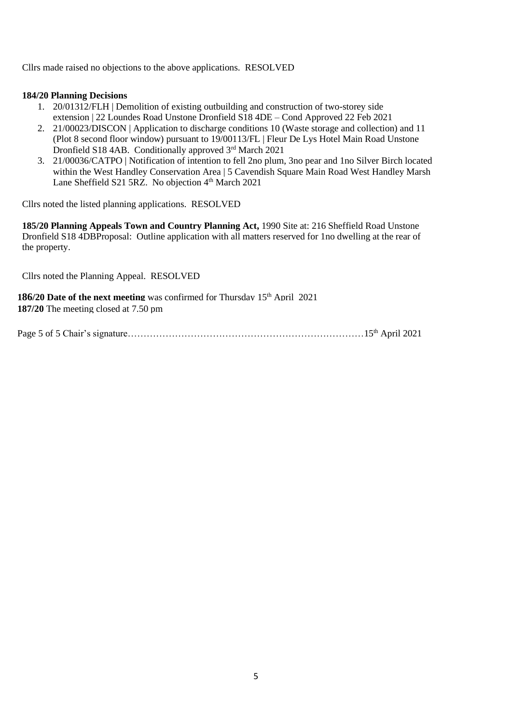Cllrs made raised no objections to the above applications. RESOLVED

#### **184/20 Planning Decisions**

- 1. 20/01312/FLH | Demolition of existing outbuilding and construction of two-storey side extension | 22 Loundes Road Unstone Dronfield S18 4DE – Cond Approved 22 Feb 2021
- 2. 21/00023/DISCON | Application to discharge conditions 10 (Waste storage and collection) and 11 (Plot 8 second floor window) pursuant to 19/00113/FL | Fleur De Lys Hotel Main Road Unstone Dronfield S18 4AB. Conditionally approved 3rd March 2021
- 3. 21/00036/CATPO | Notification of intention to fell 2no plum, 3no pear and 1no Silver Birch located within the West Handley Conservation Area | 5 Cavendish Square Main Road West Handley Marsh Lane Sheffield S21 5RZ. No objection 4<sup>th</sup> March 2021

Cllrs noted the listed planning applications. RESOLVED

**185/20 Planning Appeals Town and Country Planning Act,** 1990 Site at: 216 Sheffield Road Unstone Dronfield S18 4DBProposal: Outline application with all matters reserved for 1no dwelling at the rear of the property.

Cllrs noted the Planning Appeal. RESOLVED

<span id="page-4-0"></span>**186/20 Date of the next meeting** was confirmed for Thursday 15<sup>th</sup> April 2021 **187/20** The meeting closed at 7.50 pm

Page 5 of 5 Chair's signature…………………………………………………………………15th April 2021